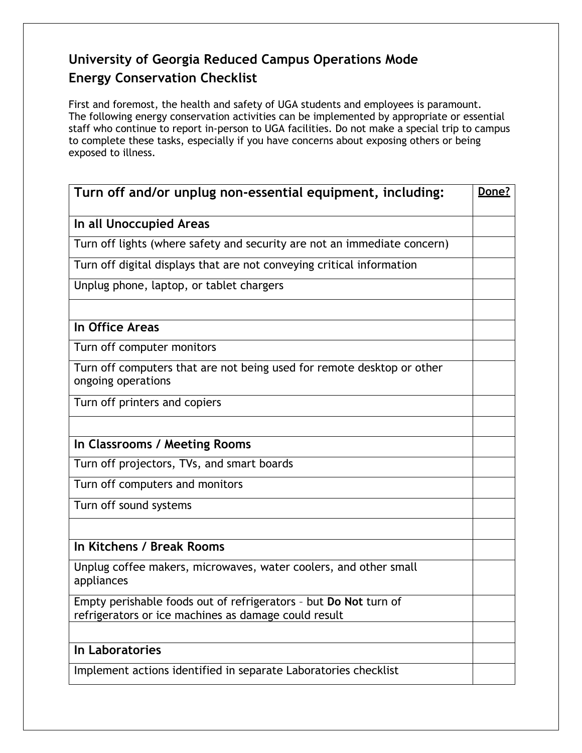## **University of Georgia Reduced Campus Operations Mode Energy Conservation Checklist**

First and foremost, the health and safety of UGA students and employees is paramount. The following energy conservation activities can be implemented by appropriate or essential staff who continue to report in-person to UGA facilities. Do not make a special trip to campus to complete these tasks, especially if you have concerns about exposing others or being exposed to illness.

| Turn off and/or unplug non-essential equipment, including:                                                               | Done? |
|--------------------------------------------------------------------------------------------------------------------------|-------|
| In all Unoccupied Areas                                                                                                  |       |
| Turn off lights (where safety and security are not an immediate concern)                                                 |       |
| Turn off digital displays that are not conveying critical information                                                    |       |
| Unplug phone, laptop, or tablet chargers                                                                                 |       |
|                                                                                                                          |       |
| In Office Areas                                                                                                          |       |
| Turn off computer monitors                                                                                               |       |
| Turn off computers that are not being used for remote desktop or other<br>ongoing operations                             |       |
| Turn off printers and copiers                                                                                            |       |
|                                                                                                                          |       |
| In Classrooms / Meeting Rooms                                                                                            |       |
| Turn off projectors, TVs, and smart boards                                                                               |       |
| Turn off computers and monitors                                                                                          |       |
| Turn off sound systems                                                                                                   |       |
|                                                                                                                          |       |
| In Kitchens / Break Rooms                                                                                                |       |
| Unplug coffee makers, microwaves, water coolers, and other small<br>appliances                                           |       |
| Empty perishable foods out of refrigerators - but Do Not turn of<br>refrigerators or ice machines as damage could result |       |
|                                                                                                                          |       |
| In Laboratories                                                                                                          |       |
| Implement actions identified in separate Laboratories checklist                                                          |       |